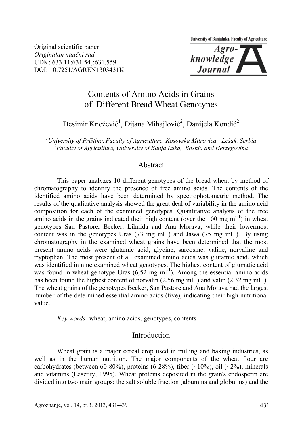University of Banjaluka, Faculty of Agriculture

Original scientific paper *Originalan naučni rad*  UDK: 633.11:631.54]:631.559 DOI: 10.7251/AGREN1303431K

$$
\\knowledge \\Journal
$$

# Contents of Amino Acids in Grains of Different Bread Wheat Genotypes

# Desimir Knežević<sup>1</sup>, Dijana Mihajlović<sup>2</sup>, Danijela Kondić<sup>2</sup>

*1 University of Priština, Faculty of Agriculture, Kosovska Mitrovica - Lešak, Serbia 2 Faculty of Agriculture, University of Banja Luka, Bosnia and Herzegovina* 

### Abstract

 This paper analyzes 10 different genotypes of the bread wheat by method of chromatography to identify the presence of free amino acids. The contents of the identified amino acids have been determined by spectrophotometric method. The results of the qualitative analysis showed the great deal of variability in the amino acid composition for each of the examined genotypes. Quantitative analysis of the free amino acids in the grains indicated their high content (over the 100 mg  $ml^{-1}$ ) in wheat genotypes San Pastore, Becker, Lihnida and Ana Morava, while their lowermost content was in the genotypes Uras  $(73 \text{ mg ml}^{-1})$  and Jawa  $(75 \text{ mg ml}^{-1})$ . By using chromatography in the examined wheat grains have been determined that the most present amino acids were glutamic acid, glycine, sarcosine, valine, norvaline and tryptophan. The most present of all examined amino acids was glutamic acid, which was identified in nine examined wheat genotypes. The highest content of glumatic acid was found in wheat genotype Uras  $(6,52 \text{ mg ml}^{-1})$ . Among the essential amino acids has been found the highest content of norvalin  $(2.56 \text{ mg ml}^{-1})$  and valin  $(2.32 \text{ mg ml}^{-1})$ . The wheat grains of the genotypes Becker, San Pastore and Ana Morava had the largest number of the determined essential amino acids (five), indicating their high nutritional value.

 *Key words:* wheat, amino acids, genotypes, contents

#### Introduction

 Wheat grain is a major cereal crop used in milling and baking industries, as well as in the human nutrition. The major components of the wheat flour are carbohydrates (between 60-80%), proteins  $(6-28\%)$ , fiber  $(\sim 10\%)$ , oil  $(\sim 2\%)$ , minerals and vitamins (Lasztity, 1995). Wheat proteins deposited in the grain's endosperm are divided into two main groups: the salt soluble fraction (albumins and globulins) and the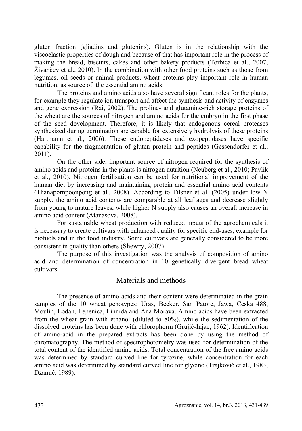gluten fraction (gliadins and glutenins). Gluten is in the relationship with the viscoelastic properties of dough and because of that has important role in the process of making the bread, biscuits, cakes and other bakery products (Torbica et al., 2007; Živančev et al., 2010). In the combination with other food proteins such as those from legumes, oil seeds or animal products, wheat proteins play important role in human nutrition, as source of the essential amino acids.

 The proteins and amino acids also have several significant roles for the plants, for example they regulate ion transport and affect the synthesis and activity of enzymes and gene expression (Rai, 2002). The proline- and glutamine-rich storage proteins of the wheat are the sources of nitrogen and amino acids for the embryo in the first phase of the seed development. Therefore, it is likely that endogenous cereal proteases synthesized during germination are capable for extensively hydrolysis of these proteins (Hartmann et al., 2006). These endopeptidases and exopeptidases have specific capability for the fragmentation of gluten protein and peptides (Gessendorfer et al., 2011).

 On the other side, important source of nitrogen required for the synthesis of amino acids and proteins in the plants is nitrogen nutrition (Neuberg et al., 2010; Pavlík et al., 2010). Nitrogen fertilisation can be used for nutritional improvement of the human diet by increasing and maintaining protein and essential amino acid contents (Thanapornpoonpong et al., 2008). According to Tilsner et al. (2005) under low N supply, the amino acid contents are comparable at all leaf ages and decrease slightly from young to mature leaves, while higher N supply also causes an overall increase in amino acid content (Atanasova, 2008).

 For sustainable wheat production with reduced inputs of the agrochemicals it is necessary to create cultivars with enhanced quality for specific end-uses, example for biofuels and in the food industry. Some cultivars are generally considered to be more consistent in quality than others (Shewry, 2007).

 The purpose of this investigation was the analysis of composition of amino acid and determination of concentration in 10 genetically divergent bread wheat cultivars.

### Materials and methods

 The presence of amino acids and their content were determinated in the grain samples of the 10 wheat genotypes: Uras, Becker, San Patore, Jawa, Ceska 488, Moulin, Lodan, Lepenica, Lihnida and Ana Morava. Amino acids have been extracted from the wheat grain with ethanol (diluted to 80%), while the sedimentation of the dissolved proteins has been done with chlorophorm (Grujić-Injac, 1962). Identification of amino-acid in the prepared extracts has been done by using the method of chromatography. The method of spectrophotometry was used for determination of the total content of the identified amino acids. Total concentration of the free amino acids was determined by standard curved line for tyrozine, while concentration for each amino acid was determined by standard curved line for glycine (Trajković et al., 1983; Džamić, 1989).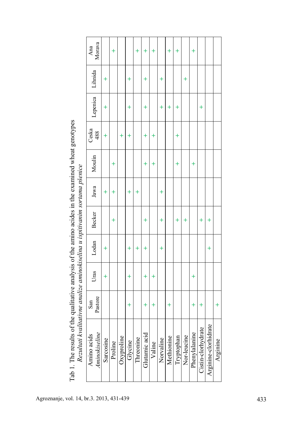| Its of the qualitative analysis of the amino acides in the examined wheat genotypes |                                                                                                                                                                                                                                         |
|-------------------------------------------------------------------------------------|-----------------------------------------------------------------------------------------------------------------------------------------------------------------------------------------------------------------------------------------|
|                                                                                     |                                                                                                                                                                                                                                         |
|                                                                                     |                                                                                                                                                                                                                                         |
|                                                                                     | いくしょう<br>structure of the control of the control of the control of the control of the control of the control of the control of the control of the control of the control of the control of the control of the control of the control of |
|                                                                                     |                                                                                                                                                                                                                                         |
|                                                                                     |                                                                                                                                                                                                                                         |
|                                                                                     |                                                                                                                                                                                                                                         |
|                                                                                     |                                                                                                                                                                                                                                         |
|                                                                                     |                                                                                                                                                                                                                                         |
|                                                                                     | <b>Coeffer in influence of the</b>                                                                                                                                                                                                      |
|                                                                                     |                                                                                                                                                                                                                                         |
|                                                                                     |                                                                                                                                                                                                                                         |
|                                                                                     |                                                                                                                                                                                                                                         |
|                                                                                     |                                                                                                                                                                                                                                         |
|                                                                                     |                                                                                                                                                                                                                                         |
|                                                                                     |                                                                                                                                                                                                                                         |
|                                                                                     |                                                                                                                                                                                                                                         |
|                                                                                     | :<br>}<br>}                                                                                                                                                                                                                             |
|                                                                                     |                                                                                                                                                                                                                                         |
|                                                                                     |                                                                                                                                                                                                                                         |
|                                                                                     |                                                                                                                                                                                                                                         |
|                                                                                     |                                                                                                                                                                                                                                         |
|                                                                                     |                                                                                                                                                                                                                                         |
|                                                                                     |                                                                                                                                                                                                                                         |
|                                                                                     |                                                                                                                                                                                                                                         |
|                                                                                     | $\sim$ is a literation and isomeone<br>ובשמונטו וגיטונטו ווכ טווטונט                                                                                                                                                                    |
|                                                                                     |                                                                                                                                                                                                                                         |
|                                                                                     |                                                                                                                                                                                                                                         |
|                                                                                     |                                                                                                                                                                                                                                         |
| Ē                                                                                   |                                                                                                                                                                                                                                         |
| A FIRENT LINE                                                                       |                                                                                                                                                                                                                                         |
| Ī                                                                                   |                                                                                                                                                                                                                                         |
|                                                                                     |                                                                                                                                                                                                                                         |

| יפאוויפטונצים באינטריקאיין אין האינטריקא פונט פון 10 סטינט פון 10 סטינט פון 10 סטינט פון 10 סטינט פון 10 סטינט<br>www.communication.com<br>-<br>-<br>- | the life of the contract of the contract of the contract of the contract of the contract of the contract of the contract of the contract of the contract of the contract of the contract of the contract of the contract of th |
|--------------------------------------------------------------------------------------------------------------------------------------------------------|--------------------------------------------------------------------------------------------------------------------------------------------------------------------------------------------------------------------------------|
|                                                                                                                                                        |                                                                                                                                                                                                                                |

|                      | Pastore<br>San | Uras       | Lodan     | <b>Becker</b> | Jawa      | Moulin    | Ceska<br>488 | Lepenica  | Lihnida   | Morava<br>Ana |
|----------------------|----------------|------------|-----------|---------------|-----------|-----------|--------------|-----------|-----------|---------------|
|                      |                | $\ddot{}$  | $\ddot{}$ |               | $\ddot{}$ |           | $\ddot{}$    | $\ddot{}$ | $\ddot{}$ |               |
|                      |                |            |           | $\ddot{}$     | $\ddot{}$ | $\ddot{}$ |              |           |           | $\ddot{}$     |
|                      |                |            |           |               |           |           | $\pm$        |           |           |               |
|                      | $\ddagger$     | $\ddot{}$  | $\ddot{}$ |               | $\ddot{}$ |           | $\ddot{}$    | $\ddot{}$ | $\ddot{}$ |               |
|                      |                |            | $\ddot{}$ |               | $\ddot{}$ |           |              |           |           | $\ddot{}$     |
|                      | $\ddot{}$      | $\ddot{}$  | $\ddot{}$ | $\ddot{}$     |           | $\ddot{}$ | $\ddot{}$    | $\ddot{}$ | $\ddot{}$ | $\ddot{}$     |
|                      | $\ddot{}$      | $\ddot{}$  |           |               |           | $\ddot{}$ | $\ddot{}$    |           |           | $\ddot{}$     |
|                      |                |            | $\ddot{}$ | $\ddot{}$     | $\ddot{}$ |           |              | $\ddag$   | $\ddot{}$ |               |
|                      | $\ddot{}$      |            |           |               |           |           |              | $^{+}$    |           | $\ddot{}$     |
|                      |                |            |           | $\ddot{}$     |           | $\ddot{}$ | $\ddot{}$    | $\ddot{}$ |           | $\ddot{}$     |
|                      |                |            |           | $\ddot{}$     |           |           |              |           | $\ddot{}$ |               |
| Phenylalanine        | $\ddot{}$      | $\ddagger$ |           |               |           | $\ddot{}$ |              |           |           | $\ddot{}$     |
| Cistin-clorhydrate   | $\ddag$        |            |           | $\ddot{}$     |           |           |              | $\ddot{}$ |           |               |
| Arginine-clorhidrate |                |            | $\ddag$   | $\ddot{}$     |           |           |              |           |           |               |
|                      | $\ddot{}$      |            |           |               |           |           |              |           |           |               |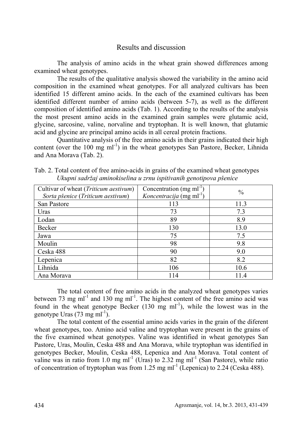## Results and discussion

 The analysis of amino acids in the wheat grain showed differences among examined wheat genotypes.

 The results of the qualitative analysis showed the variability in the amino acid composition in the examined wheat genotypes. For all analyzed cultivars has been identified 15 different amino acids. In the each of the examined cultivars has been identified different number of amino acids (between 5-7), as well as the different composition of identified amino acids (Tab. 1). According to the results of the analysis the most present amino acids in the examined grain samples were glutamic acid, glycine, sarcosine, valine, norvaline and tryptophan. It is well known, that glutamic acid and glycine are principal amino acids in all cereal protein fractions.

 Quantitative analysis of the free amino acids in their grains indicated their high content (over the 100 mg  $ml^{-1}$ ) in the wheat genotypes San Pastore, Becker, Lihnida and Ana Morava (Tab. 2).

| Cultivar of wheat (Triticum aestivum)<br>Sorta pšenice (Triticum aestivum) | Concentration $(mg \, ml^{-1})$<br>Koncentracija (mg ml <sup>-1</sup> ) | $\frac{0}{0}$ |
|----------------------------------------------------------------------------|-------------------------------------------------------------------------|---------------|
| San Pastore                                                                | 113                                                                     | 11.3          |
| Uras                                                                       | 73                                                                      | 7.3           |
| Lodan                                                                      | 89                                                                      | 8.9           |
| Becker                                                                     | 130                                                                     | 13.0          |
| Jawa                                                                       | 75                                                                      | 7.5           |
| Moulin                                                                     | 98                                                                      | 9.8           |
| Ceska 488                                                                  | 90                                                                      | 9.0           |
| Lepenica                                                                   | 82                                                                      | 8.2           |
| Lihnida                                                                    | 106                                                                     | 10.6          |
| Ana Morava                                                                 | 114                                                                     | 11.4          |

Tab. 2. Total content of free amino-acids in grains of the examined wheat genotypes *Ukupni sadržaj aminokiselina u zrnu ispitivanih genotipova pšenice* 

 The total content of free amino acids in the analyzed wheat genotypes varies between 73 mg ml<sup>-1</sup> and 130 mg ml<sup>-1</sup>. The highest content of the free amino acid was found in the wheat genotype Becker  $(130 \text{ mg ml}^{-1})$ , while the lowest was in the genotype Uras  $(73 \text{ mg ml}^{-1})$ .

 The total content of the essential amino acids varies in the grain of the diferent wheat genotypes, too. Amino acid valine and tryptophan were present in the grains of the five examined wheat genotypes. Valine was identified in wheat genotypes San Pastore, Uras, Moulin, Ceska 488 and Ana Morava, while tryptophan was identified in genotypes Becker, Moulin, Ceska 488, Lepenica and Ana Morava. Total content of valine was in ratio from 1.0 mg ml<sup>-1</sup> (Uras) to 2.32 mg ml<sup>-1</sup> (San Pastore), while ratio of concentration of tryptophan was from 1.25 mg ml<sup>-1</sup> (Lepenica) to 2.24 (Ceska 488).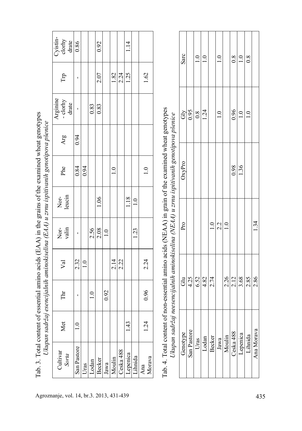| Cyistin-<br>clorhy<br>drate   | 0.86           |               |               | 0.92          |               |               |           | 1.14     |               |               |                                                                                                                                                                         | Sarc     |             | $\overline{1.0}$ | $\frac{0}{1}$ |                 | $\overline{1.0}$ |               | $\overline{0.8}$ | $\overline{\phantom{0}}$ | $\overline{0.8}$ |                |
|-------------------------------|----------------|---------------|---------------|---------------|---------------|---------------|-----------|----------|---------------|---------------|-------------------------------------------------------------------------------------------------------------------------------------------------------------------------|----------|-------------|------------------|---------------|-----------------|------------------|---------------|------------------|--------------------------|------------------|----------------|
| Trp                           |                |               |               | 2.07          |               | 1.82          | 2.24      | 1.25     |               | 1.62          |                                                                                                                                                                         |          |             |                  |               |                 |                  |               |                  |                          |                  |                |
| Arginine<br>- clorhy<br>drate |                |               | 0.83          | 0.83          |               |               |           |          |               |               |                                                                                                                                                                         | Ğ        | 0.95        | $0.\overline{8}$ | 1.24          |                 | 1.0              |               | 0.96             | 1.0                      | 1.0              |                |
| Arg                           | 0.94           |               |               |               |               |               |           |          |               |               |                                                                                                                                                                         |          |             |                  |               |                 |                  |               |                  |                          |                  |                |
| Phe                           | 0.84           | 0.94          |               |               |               | $\frac{0}{1}$ |           |          |               | 1.0           | f non-essential amino acids (NEAA) in grain of the examined wheat genotypes<br>Ukupan sadržaj neesencijalnih aminokiselina (NEAA) u zrnu ispitivanih genotipova pšenice | OxyPro   |             |                  |               |                 |                  |               | 0.98             | 1.36                     |                  |                |
| leucin<br>Nor-                |                |               |               | 1.06          |               |               |           | 1.18     | $\frac{1}{1}$ |               |                                                                                                                                                                         |          |             |                  |               |                 |                  |               |                  |                          |                  |                |
| valin<br>Nor-                 |                |               | 2.56          | 2.08          | $\frac{0}{1}$ |               |           |          | 1.23          |               |                                                                                                                                                                         | Pro      |             |                  |               | $\overline{10}$ | 2.2              | $\frac{0}{1}$ |                  |                          |                  | $\frac{34}{3}$ |
| Val                           | 2.32           | $\frac{0}{1}$ |               |               |               | 2.14          | 2.22      |          |               | 2.24          |                                                                                                                                                                         |          |             |                  |               |                 |                  |               |                  |                          |                  |                |
| Ě                             | $\blacksquare$ |               | $\frac{0}{1}$ |               | 0.92          |               |           |          |               | 0.96          |                                                                                                                                                                         | ස්       | 4.25        | 6.52             | 4.82          | 2.74            |                  | 2.26          | 2.12             | 3.68                     | 2.85             | 2.86           |
| Met                           | $\supseteq$    |               |               |               |               |               |           | 1.43     |               | 1.24          |                                                                                                                                                                         |          |             |                  |               |                 |                  |               |                  |                          |                  |                |
| Cultivar<br>Sorta             | San Pastore    | Uras          | Lodan         | <b>Becker</b> | Jawa          | Moulin        | Ceska 488 | Lepenica | Lihnida       | Morava<br>Ana | Tab. 4. Total content o                                                                                                                                                 | Genotype | San Pastore | Uras             | Lodan         | <b>Becker</b>   | Jawa             | Moulin        | Ceska 488        | epenica                  | Lihnida          | Ana Morava     |

|                                                                                                                                                                                                                                | Sarc     |                   | $\frac{1}{2}$      | $\overline{1.0}$                                                                                          |               | $\frac{1}{10}$ |                     | $\overline{0.8}$    | 1.0      | 0.8     |            |
|--------------------------------------------------------------------------------------------------------------------------------------------------------------------------------------------------------------------------------|----------|-------------------|--------------------|-----------------------------------------------------------------------------------------------------------|---------------|----------------|---------------------|---------------------|----------|---------|------------|
|                                                                                                                                                                                                                                | Gly      | $\overline{0.95}$ | $\frac{0.8}{1.24}$ |                                                                                                           |               | $\frac{1}{1}$  |                     | 0.96                | 1.0      |         |            |
|                                                                                                                                                                                                                                | OxyPro   |                   |                    |                                                                                                           |               |                |                     | $\frac{0.98}{1.36}$ |          |         |            |
|                                                                                                                                                                                                                                | Pro      |                   |                    |                                                                                                           | $\frac{1}{1}$ | 2.2            | $\frac{0}{1}$       |                     |          |         | 1.34       |
| incontrol mandiment and mandament with minimum in the control of the control of the control of the control of the control of the control of the control of the control of the control of the control of the control of the con |          |                   |                    | $rac{1}{\frac{1}{2}}\frac{1}{\frac{1}{2}}\frac{1}{\frac{1}{2}}\frac{1}{\frac{1}{2}}\frac{1}{\frac{1}{2}}$ |               |                |                     | $\frac{236}{21288}$ |          |         |            |
| monnon mon                                                                                                                                                                                                                     | Genotype | San Pastore       | Uras               | Lodan                                                                                                     | <b>Becker</b> | Jawa           | Moulin<br>Ceska 488 |                     | Lepenica | Lihnida | Ana Morava |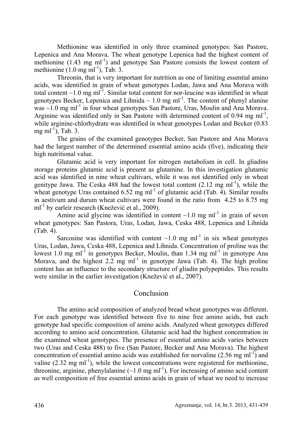Methionine was identified in only three examined genotypes: San Pastore, Lepenica and Ana Morava. The wheat genotype Lepenica had the highest content of methionine  $(1.43 \text{ mg ml}^{-1})$  and genotype San Pastore consists the lowest content of methionine  $(1.0 \text{ mg ml}^{-1})$ , Tab. 3.

 Threonin, that is very important for nutrition as one of limiting essential amino acids, was identified in grain of wheat genotypes Lodan, Jawa and Ana Morava with total content  $\sim$ 1.0 mg ml<sup>-1</sup>. Similar total content for nor-leucine was identified in wheat genotypes Becker, Lepenica and Lihnida  $\sim 1.0$  mg ml<sup>-1</sup>. The content of phenyl alanine was  $\sim$ 1.0 mg ml<sup>-1</sup> in four wheat genotypes San Pastore, Uras, Moulin and Ana Morava. Arginine was identified only in San Pastore with determined content of  $0.94 \text{ mg ml}^{-1}$ , while arginine-chlorhydrate was identified in wheat genotypes Lodan and Becker (0.83 mg m $l^{-1}$ ), Tab. 3.

 The grains of the examined genotypes Becker, San Pastore and Ana Morava had the largest number of the determined essential amino acids (five), indicating their high nutritional value.

 Glutamic acid is very important for nitrogen metabolism in cell. In gliadins storage proteins glutamic acid is present as glutamine. In this investigation glutamic acid was identified in nine wheat cultivars, while it was not identified only in wheat genitype Jawa. The Ceska 488 had the lowest total content  $(2.12 \text{ mg ml}^{-1})$ , while the wheat genotype Uras contained  $6.52 \text{ mg ml}^{-1}$  of glutamic acid (Tab. 4). Similar results in aestivum and durum wheat cultivars were found in the ratio from 4.25 to 8.75 mg ml<sup>-1</sup> by earleir research (Knežević et al., 2009).

Amino acid glycine was identified in content  $\sim$ 1.0 mg ml<sup>-1</sup> in grain of seven wheat genotypes: San Pastora, Uras, Lodan, Jawa, Ceska 488, Lepenica and Lihnida (Tab. 4).

Sarcosine was identified with content  $\sim 1.0$  mg ml<sup>-1</sup> in six wheat genotypes Uras, Lodan, Jawa, Ceska 488, Lepenica and Lihnida. Concentration of proline was the lowest 1.0 mg ml<sup>-1</sup> in genotypes Becker, Moulin, than 1.34 mg ml<sup>-1</sup> in genotype Ana Morava, and the highest 2.2 mg m $l^{-1}$  in genotype Jawa (Tab. 4). The high proline content has an influence to the secondary structure of gliadin polypeptides. This results were similar in the earlier investigation (Knežević et al., 2007).

### Conclusion

 The amino acid composition of analyzed bread wheat genotypes was different. For each genotype was identified between five to nine free amino acids, but each genotype had specific composition of amino acids. Analyzed wheat genotypes differed according to amino acid concentration. Glutamic acid had the highest concentration in the examined wheat genotypes. The presence of essential amino acids varies between two (Uras and Ceska 488) to five (San Pastore, Becker and Ana Morava). The highest concentration of essential amino acids was established for norvaline  $(2.56 \text{ mg ml}^{-1})$  and valine (2.32 mg  $ml^{-1}$ ), while the lowest concentrations were registered for methionine, threonine, arginine, phenylalanine  $(\sim 1.0 \text{ mg ml}^{-1})$ . For increasing of amino acid content as well composition of free essential amino acids in grain of wheat we need to increase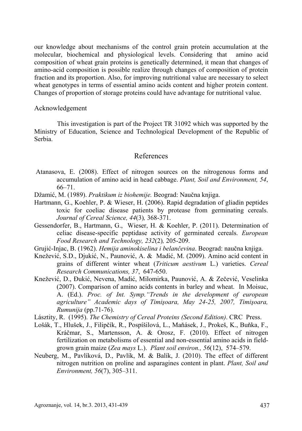our knowledge about mechanisms of the control grain protein accumulation at the molecular, biochemical and physiological levels. Considering that amino acid composition of wheat grain proteins is genetically determined, it mean that changes of amino-acid composition is possible realize through changes of composition of protein fraction and its proportion. Also, for improving nutritional value are necessary to select wheat genotypes in terms of essential amino acids content and higher protein content. Changes of proportion of storage proteins could have advantage for nutritional value.

#### Acknowledgement

 This investigation is part of the Project TR 31092 which was supported by the Ministry of Education, Science and Technological Development of the Republic of Serbia.

#### References

- Atanasova, E. (2008). Effect of nitrogen sources on the nitrogenous forms and accumulation of amino acid in head cabbage. *Plant, Soil and Environment, 54*, 66–71.
- Džamić, M. (1989). *Praktikum iz biohemije.* Beograd: Naučna knjiga.
- Hartmann, G., Koehler, P. & Wieser, H. (2006). Rapid degradation of gliadin peptides toxic for coeliac disease patients by protease from germinating cereals. *Journal of Cereal Science, 44*(3)*,* 368-371.
- Gessendorfer, B., Hartmann, G., Wieser, H. & Koehler, P. (2011). Determination of celiac disease-specific peptidase activity of germinated cereals. *European Food Research and Technology, 232*(2)*,* 205-209.
- Grujić-Injac, B. (1962). *Hemija aminokiselina i belančevina*. Beograd: naučna knjiga.
- Knežević, S.D., Djukić, N., Paunović, A. & Madić, M. (2009). Amino acid content in grains of different winter wheat (*Triticum aestivum* L.) varieties. *Cereal Research Communications, 37*, 647-650.
- Knežević, D., Đukić, Nevena, Madić, Milomirka, Paunović, A. & Zečević, Veselinka (2007). Comparison of amino acids contents in barley and wheat. In Moisuc, A. (Ed.). *Proc. of Int. Symp."Trends in the development of european agriculture" Academic days of Timişoara, May 24-25, 2007, Timişoara, Rumunija* (pp.71-76).
- Lásztity, R. (1995). *The Chemistry of Cereal Proteins (Second Edition)*. CRC Press.
- Lošák, T., Hlušek, J., Filipčík, R., Pospíšilová, L., Maňásek, J., Prokeš, K., Buňka, F., Kráčmar, S., Martensson, A. & Orosz, F. (2010). Effect of nitrogen fertilization on metabolisms of essential and non-essential amino acids in fieldgrown grain maize (*Zea mays* L.). *Plant soil environ., 56*(12), 574–579.
- Neuberg, M., Pavlíková, D., Pavlík, M. & Balík, J. (2010). The effect of different nitrogen nutrition on proline and asparagines content in plant. *Plant, Soil and Environment, 56*(7), 305–311.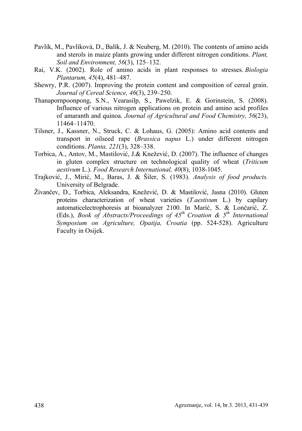- Pavlík, M., Pavlíková, D., Balík, J. & Neuberg, M. (2010). The contents of amino acids and sterols in maize plants growing under different nitrogen conditions. *Plant, Soil and Environment, 56*(3), 125–132.
- Rai, V.K. (2002). Role of amino acids in plant responses to stresses. *Biologia Plantarum, 45*(4), 481–487.
- Shewry, P.R. (2007). Improving the protein content and composition of cereal grain. *Journal of Cereal Science, 46*(3), 239–250.
- Thanapornpoonpong, S.N., Vearasilp, S., Pawelzik, E. & Gorinstein, S. (2008). Influence of various nitrogen applications on protein and amino acid profiles of amaranth and quinoa. *Journal of Agricultural and Food Chemistry, 56*(23), 11464–11470.
- Tilsner, J., Kassner, N., Struck, C. & Lohaus, G. (2005): Amino acid contents and transport in oilseed rape (*Brassica napus* L.) under different nitrogen conditions. *Planta, 221*(3), 328–338.
- Torbica, A., Antov, M., Mastilović, J.& Knežević, D. (2007). The influence of changes in gluten complex structure on technological quality of wheat (*Triticum aestivum* L.). *Food Research International, 40*(8), 1038-1045.
- Trajković, J., Mirić, M., Baras, J. & Šiler, S. (1983). *Analysis of food products.* University of Belgrade.
- Živančev, D., Torbica, Aleksandra, Knežević, D. & Mastilović, Jasna (2010). Gluten proteins characterization of wheat varieties (*T.aestivum* L.) by capilary automaticelectrophoresis at bioanalyzer 2100. In Marić, S. & Lončarić, Z. (Eds.), *Book of Abstracts/Proceedings of 45th Croation & 5th International Symposium on Agriculture, Opatija, Croatia* (pp. 524-528). Agriculture Faculty in Osijek.